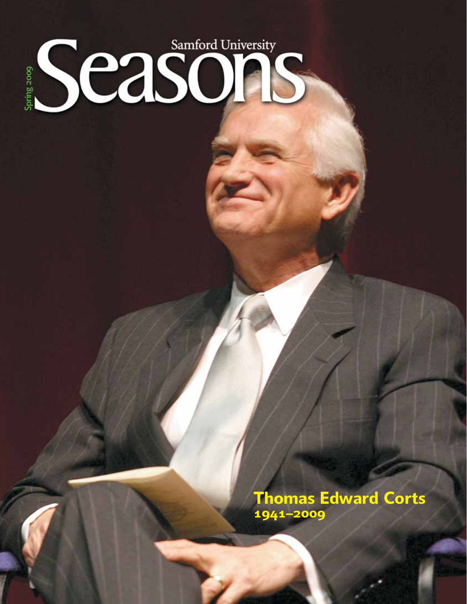# Season Case **Spring 2009**

**Thomas Edward Corts 1941–2009**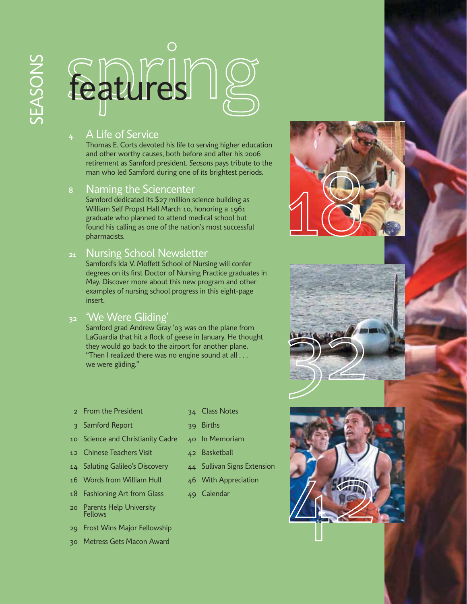### $\bigcirc$ features e

#### **<sup>4</sup>** A Life of Service

Thomas E. Corts devoted his life to serving higher education and other worthy causes, both before and after his 2006 retirement as Samford president. *Seasons* pays tribute to the man who led Samford during one of its brightest periods.

#### **<sup>8</sup>** Naming the Sciencenter

Samford dedicated its \$27 million science building as William Self Propst Hall March 10, honoring a 1961 graduate who planned to attend medical school but found his calling as one of the nation's most successful pharmacists.

#### **<sup>21</sup>** Nursing School Newsletter

Samford's Ida V. Moffett School of Nursing will confer degrees on its first Doctor of Nursing Practice graduates in May. Discover more about this new program and other examples of nursing school progress in this eight-page insert.

#### **<sup>32</sup>** 'We Were Gliding'

Samford grad Andrew Gray '03 was on the plane from LaGuardia that hit a flock of geese in January. He thought they would go back to the airport for another plane. "Then I realized there was no engine sound at all . . . we were gliding."

- 2 From the President
- 3 Samford Report
- 10 Science and Christianity Cadre
- 12 Chinese Teachers Visit
- 14 Saluting Galileo's Discovery
- 16 Words from William Hull
- 18 Fashioning Art from Glass
- 20 Parents Help University Fellows
- 29 Frost Wins Major Fellowship
- 30 Metress Gets Macon Award
- 34 Class Notes
- 39 Births
- 40 In Memoriam
- 42 Basketball
- 44 Sullivan Signs Extension
- 46 With Appreciation
- 49 Calendar





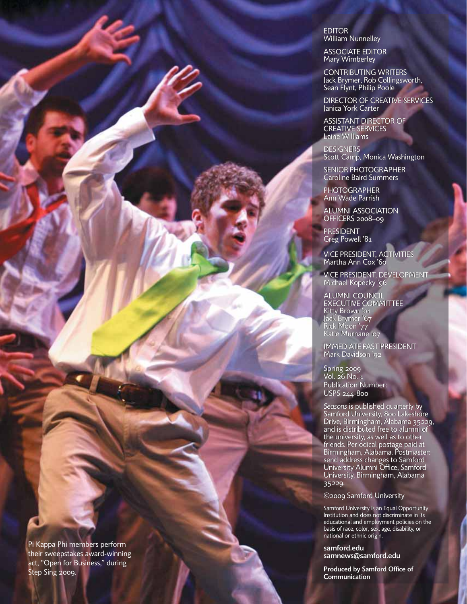

EDITOR EDITOR

William Nunnelley William Nunnelley<br>ASSOCIATE EDITOR Mary Wimberley

CONTRIBUTING WRITERS Jack Brymer, Rob Collingsworth,

ASSISTANT DIRECTOR OF CREATIVE SERVICES Laine Williams **DESIGNERS** 

Janica York Carter<br>ASSISTANT DIRECTOR<br>CREATIVE SERVICES

Caroline Baird Summers Caroline Baird Summers

ALUMNI ASSOCIATION ASSOCIATIONOFFICERS 2008–09

VICE PRESIDENT, ACTIVITIES

Katie Murnane 'o7<br>IMMEDIATE PAST PRESIDENT

EXECUTIVE COMMITTEE<br>Kitty Brown '01<br>Jack Brymer '67

*Seasons* is published quarterly by Samford University, 800 Lakeshore Drive, Birmingham, Alabama 35229, and is distributed free to alumni of the university, as well as to other friends. Periodical postage paid at Birmingham, Alabama. Postmaster: send address changes to Samford University Alumni Office, Samford University, Birmingham, Alabama

the university, as well as friends. Periodical postage paid at<br>Birmingham, Alabama. Postmaster:

*Seasons* is published quarterly by<br>Samford University, 800 Lakeshore<br>Drive, Birmingham, Alabama 35229,<br>and is distributed free to alumni of

©2009 Samford University

national or ethnic origin. national or **samford.edu**

**Communication**

**samnews@samford.edu**

**Produced by Samford Office of by Samford of**

Samford University is an Equal Opportunity Institution and does not discriminate in its educational and employment policies on the educational and employment policies on the<br>basis of race, color, sex, age, disability, or

University is an Equal Opportunity not discriminate in

send address changes to Samford<br>University Alumni Office, Samforc<br>University, Birmingham, Alabama<br>35229.<br>©2009 Samford University

VICE PRESIDENT, DEVELOPMENT

PRESIDENT, ACTIVITIES<br>ha Ann Cox '60<br>PRESIDENT, DEVELOPMENT<br>ael Kopecky '96<br>MNI COUNCIL

Martha Ann Cox '60

Michael Kopecky '96 ALUMNI COUNCIL EXECUTIVE COMMITTEE

Kitty Brown '01 Jack Brymer '67 Rick Moon '77 Katie Murnane '07

Mark Davidson '92 Davidson '92

Moon '77

Spring 2009 2009 Vol. 26 No. 1 Vol. 26 No. Publication Number: Number: USPS 244-800 244-800

35229.

PHOTOGRAPHER PHOTOGRAPHER Ann Wade Parrish Ann Wade Parrish

PRESIDENT PRESIDENT Greg Powell '81 Powell '81

Scott Camp, Monica Washington Scott Camp, Monica Washington<br>SENIOR PHOTOGRAPHER

Mary Wimberley<br>CONTRIBUTING WRITERS<br>Jack Brymer, Rob Collingsworth,<br>Sean Flynt, Philip Poole<br>DIRECTOR OF CREATIVE SERVICES

Sean Flynt, Philip Poole

Janica York Carter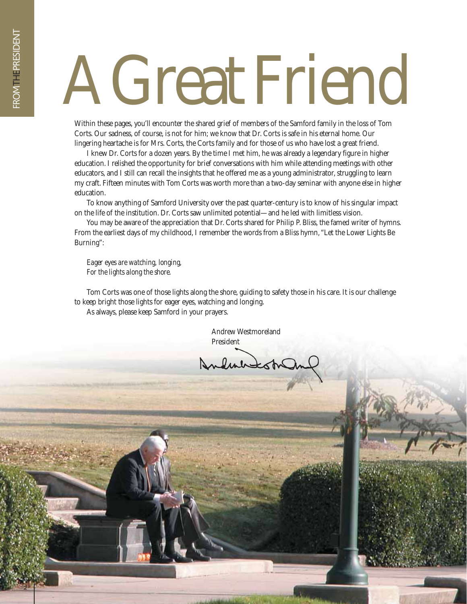# AGreatFriend

Within these pages, you'll encounter the shared grief of members of the Samford family in the loss of Tom Corts. Our sadness, of course, is not for him; we know that Dr. Corts is safe in his eternal home. Our lingering heartache is for Mrs. Corts, the Corts family and for those of us who have lost a great friend.

I knew Dr. Corts for a dozen years. By the time I met him, he was already a legendary figure in higher education. I relished the opportunity for brief conversations with him while attending meetings with other educators, and I still can recall the insights that he offered me as a young administrator, struggling to learn my craft. Fifteen minutes with Tom Corts was worth more than a two-day seminar with anyone else in higher education.

To know anything of Samford University over the past quarter-century is to know of his singular impact on the life of the institution. Dr. Corts saw unlimited potential—and he led with limitless vision.

You may be aware of the appreciation that Dr. Corts shared for Philip P. Bliss, the famed writer of hymns. From the earliest days of my childhood, I remember the words from a Bliss hymn, "Let the Lower Lights Be Burning":

*Eager eyes are watching, longing, For the lights along the shore.*

Tom Corts was one of those lights along the shore, guiding to safety those in his care. It is our challenge to keep bright those lights for eager eyes, watching and longing. As always, please keep Samford in your prayers.

> Andrew Westmoreland President

Andmirastra

2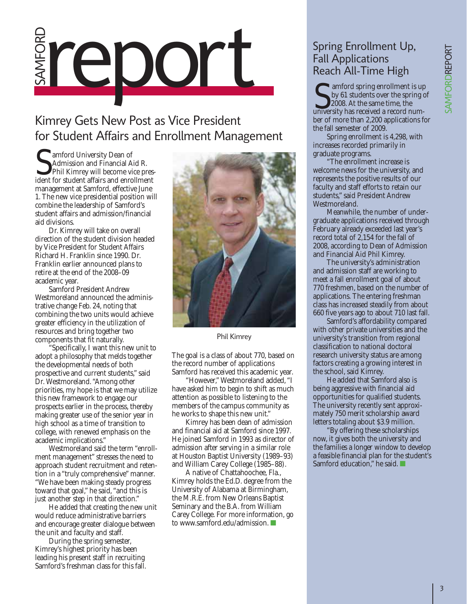## SAMFORD Spring Enrollment Up,<br>Fall Applications<br>Reach All-Time High<br>Camford spring enrollment is

#### Kimrey Gets New Post as Vice President for Student Affairs and Enrollment Management

amford University Dean of Admission and Financial Aid R. Phil Kimrey will become vice pres-**S** amford University Dean of<br>Admission and Financial Aid R.<br>Initial Kimrey will become vice president for student affairs and enrollment management at Samford, effective June 1. The new vice presidential position will combine the leadership of Samford's student affairs and admission/financial aid divisions.

Dr. Kimrey will take on overall direction of the student division headed by Vice President for Student Affairs Richard H. Franklin since 1990. Dr. Franklin earlier announced plans to retire at the end of the 2008–09 academic year.

Samford President Andrew Westmoreland announced the administrative change Feb. 24, noting that combining the two units would achieve greater efficiency in the utilization of resources and bring together two components that fit naturally.

"Specifically, I want this new unit to adopt a philosophy that melds together the developmental needs of both prospective and current students," said Dr. Westmoreland. "Among other priorities, my hope is that we may utilize this new framework to engage our prospects earlier in the process, thereby making greater use of the senior year in high school as a time of transition to college, with renewed emphasis on the academic implications."

Westmoreland said the term "enrollment management" stresses the need to approach student recruitment and retention in a "truly comprehensive" manner. "We have been making steady progress toward that goal," he said, "and this is just another step in that direction."

He added that creating the new unit would reduce administrative barriers and encourage greater dialogue between the unit and faculty and staff.

During the spring semester, Kimrey's highest priority has been leading his present staff in recruiting Samford's freshman class for this fall.



Phil Kimrey

The goal is a class of about 770, based on the record number of applications Samford has received this academic year.

"However," Westmoreland added, "I have asked him to begin to shift as much attention as possible to listening to the members of the campus community as he works to shape this new unit."

Kimrey has been dean of admission and financial aid at Samford since 1997. He joined Samford in 1993 as director of admission after serving in a similar role at Houston Baptist University (1989–93) and William Carey College (1985–88).

A native of Chattahoochee, Fla., Kimrey holds the Ed.D. degree from the University of Alabama at Birmingham, the M.R.E. from New Orleans Baptist Seminary and the B.A. from William Carey College. For more information, go to www.samford.edu/admission. ■

#### Fall Applications Reach All-Time High

**T** amford spring enrollment is up by 61 students over the spring of 2008. At the same time, the sum for the spring enrollment is up<br>by 61 students over the spring c<br>2008. At the same time, the<br>university has received a record number of more than 2,200 applications for the fall semester of 2009.

Spring enrollment is 4,298, with increases recorded primarily in graduate programs.

"The enrollment increase is welcome news for the university, and represents the positive results of our faculty and staff efforts to retain our students," said President Andrew Westmoreland.

Meanwhile, the number of undergraduate applications received through February already exceeded last year's record total of 2,154 for the fall of 2008, according to Dean of Admission and Financial Aid Phil Kimrey.

The university's administration and admission staff are working to meet a fall enrollment goal of about 770 freshmen, based on the number of applications. The entering freshman class has increased steadily from about 660 five years ago to about 710 last fall.

Samford's affordability compared with other private universities and the university's transition from regional classification to national doctoral research university status are among factors creating a growing interest in the school, said Kimrey.

He added that Samford also is being aggressive with financial aid opportunities for qualified students. The university recently sent approximately 750 merit scholarship award letters totaling about \$3.9 million.

"By offering these scholarships now, it gives both the university and the families a longer window to develop a feasible financial plan for the student's Samford education," he said. ■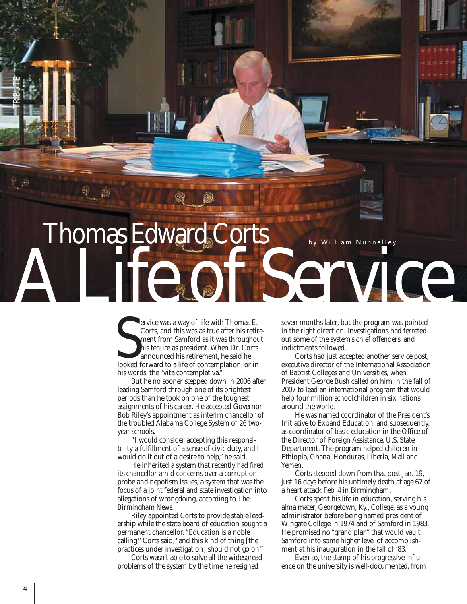

ervice was a way of life with Thomas E. Corts, and this was as true after his retirement from Samford as it was throughout his tenure as president. When Dr. Corts announced his retirement, he said he ervice was a way of life with Thomas E.<br>Corts, and this was as true after his retire<br>ment from Samford as it was throughous<br>his tenure as president. When Dr. Corts<br>announced his retirement, he said he<br>looked forward to a l his words, the "vita contemplativa."

But he no sooner stepped down in 2006 after leading Samford through one of its brightest periods than he took on one of the toughest assignments of his career. He accepted Governor Bob Riley's appointment as interim chancellor of the troubled Alabama College System of 26 twoyear schools.

"I would consider accepting this responsi bility a fulfillment of a sense of civic duty, and I would do it out of a desire to help," he said.

He inherited a system that recently had fired its chancellor amid concerns over a corruption probe and nepotism issues, a system that was the focus of a joint federal and state investigation into allegations of wrongdoing, according to *The Birmingham News.*

Riley appointed Corts to provide stable leadership while the state board of education sought a permanent chancellor. "Education is a noble calling," Corts said, "and this kind of thing [the practices under investigation] should not go on."

Corts wasn't able to solve all the widespread problems of the system by the time he resigned

seven months later, but the program was pointed in the right direction. Investigations had ferreted out some of the system's chief offenders, and indictments followed.

Corts had just accepted another service post, executive director of the International Association of Baptist Colleges and Universities, when President George Bush called on him in the fall of 2007 to lead an international program that would help four million schoolchildren in six nations around the world.

He was named coordinator of the President's Initiative to Expand Education, and subsequently, as coordinator of basic education in the Office of the Director of Foreign Assistance, U.S. State Department. The program helped children in Ethiopia, Ghana, Honduras, Liberia, Mali and Yemen.

Corts stepped down from that post Jan. 19, just 16 days before his untimely death at age 67 of a heart attack Feb. 4 in Birmingham.

Corts spent his life in education, serving his alma mater, Georgetown, Ky., College, as a young administrator before being named president of Wingate College in 1974 and of Samford in 1983. He promised no "grand plan" that would vault Samford into some higher level of accomplishment at his inauguration in the fall of '83.

Even so, the stamp of his progressive influence on the university is well-documented, from

TRIBUTE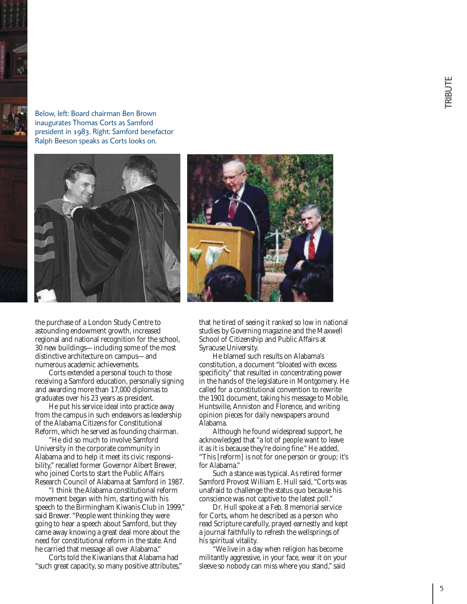Below, left: Board chairman Ben Brown inaugurates Thomas Corts as Samford president in 1983. Right: Samford benefactor Ralph Beeson speaks as Corts looks on.





the purchase of a London Study Centre to astounding endowment growth, increased regional and national recognition for the school, 30 new buildings—including some of the most distinctive architecture on campus—and numerous academic achievements.

Corts extended a personal touch to those receiving a Samford education, personally signing and awarding more than 17,000 diplomas to graduates over his 23 years as president.

He put his service ideal into practice away from the campus in such endeavors as leadership of the Alabama Citizens for Constitutional Reform, which he served as founding chairman.

"He did so much to involve Samford University in the corporate community in Alabama and to help it meet its civic responsi bility," recalled former Governor Albert Brewer, who joined Corts to start the Public Affairs Research Council of Alabama at Samford in 1987.

"I think the Alabama constitutional reform movement began with him, starting with his speech to the Birmingham Kiwanis Club in 1999," said Brewer. "People went thinking they were going to hear a speech about Samford, but they came away knowing a great deal more about the need for constitutional reform in the state. And he carried that message all over Alabama."

Corts told the Kiwanians that Alabama had "such great capacity, so many positive attributes,"

that he tired of seeing it ranked so low in national studies by *Governing* magazine and the Maxwell School of Citizenship and Public Affairs at Syracuse University.

He blamed such results on Alabama's constitution, a document "bloated with excess specificity" that resulted in concentrating power in the hands of the legislature in Montgomery. He called for a constitutional convention to rewrite the 1901 document, taking his message to Mobile, Huntsville, Anniston and Florence, and writing opinion pieces for daily newspapers around Alabama.

Although he found widespread support, he acknowledged that "a lot of people want to leave it as it is because they're doing fine." He added, "This [reform] is not for one person or group; it's for Alabama."

Such a stance was typical. As retired former Samford Provost William E. Hull said, "Corts was unafraid to challenge the status quo because his conscience was not captive to the latest poll."

Dr. Hull spoke at a Feb. 8 memorial service for Corts, whom he described as a person who read Scripture carefully, prayed earnestly and kept a journal faithfully to refresh the wellsprings of his spiritual vitality.

"We live in a day when religion has become militantly aggressive, in your face, wear it on your sleeve so nobody can miss where you stand," said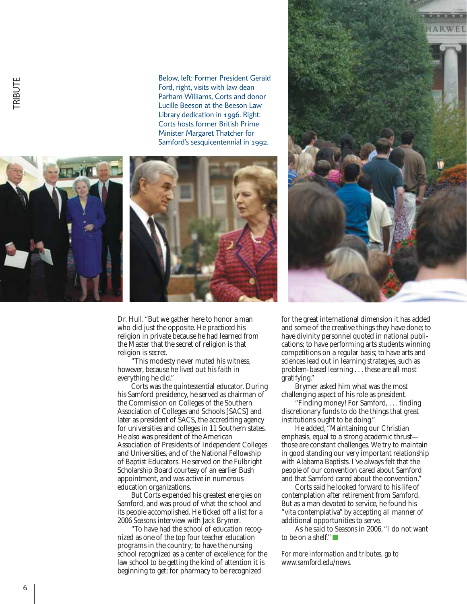Below, left: Former President Gerald Ford, right, visits with law dean Parham Williams, Corts and donor Lucille Beeson at the Beeson Law Library dedication in 1996. Right: Corts hosts former British Prime Minister Margaret Thatcher for Samford's sesquicentennial in 1992.





Dr. Hull. "But we gather here to honor a man who did just the opposite. He practiced his religion in private because he had learned from the Master that the secret of religion is that religion is secret.

"This modesty never muted his witness, however, because he lived out his faith in everything he did."

Corts was the quintessential educator. During his Samford presidency, he served as chairman of the Commission on Colleges of the Southern Association of Colleges and Schools [SACS] and later as president of SACS, the accrediting agency for universities and colleges in 11 Southern states. He also was president of the American Association of Presidents of Independent Colleges and Universities, and of the National Fellowship of Baptist Educators. He served on the Fulbright Scholarship Board courtesy of an earlier Bush appointment, and was active in numerous education organizations.

But Corts expended his greatest energies on Samford, and was proud of what the school and its people accomplished. He ticked off a list for a 2006 *Seasons* interview with Jack Brymer.

"To have had the school of education recognized as one of the top four teacher education programs in the country; to have the nursing school recognized as a center of excellence; for the law school to be getting the kind of attention it is beginning to get; for pharmacy to be recognized



for the great international dimension it has added and some of the creative things they have done; to have divinity personnel quoted in national publications; to have performing arts students winning competitions on a regular basis; to have arts and sciences lead out in learning strategies, such as problem-based learning . . . these are all most gratifying."

Brymer asked him what was the most challenging aspect of his role as president.

"Finding money! For Samford, . . . finding discretionary funds to do the things that great institutions ought to be doing."

He added, "Maintaining our Christian emphasis, equal to a strong academic thrust those are constant challenges. We try to maintain in good standing our very important relationship with Alabama Baptists. I've always felt that the people of our convention cared about Samford and that Samford cared about the convention."

Corts said he looked forward to his life of contemplation after retirement from Samford. But as a man devoted to service, he found his "vita contemplativa" by accepting all manner of additional opportunities to serve.

As he said to *Seasons* in 2006, "I do not want to be on a shelf."  $\Box$ 

*For more information and tributes, go to www.samford.edu/news.*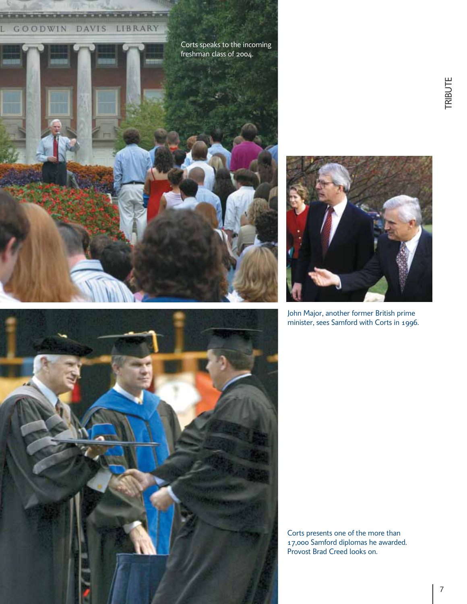#### <u> KARA MARA KATIKA KATIKA MARAKA NA MA</u> GOODWIN DAVIS LIBRARY





John Major, another former British prime minister, sees Samford with Corts in 1996.



Corts presents one of the more than 17,000 Samford diplomas he awarded. Provost Brad Creed looks on.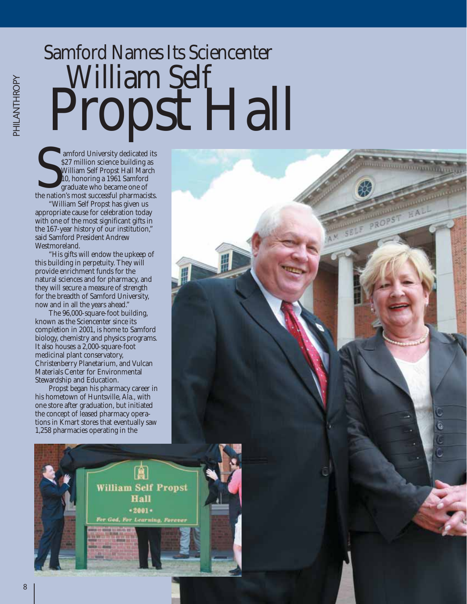# Samford Names Its Sciencenter William Self<br>Propst Hall

<u> Andreamonton (Andreamont)</u>

**amford University dedicated its** \$27 million science building as William Self Propst Hall March 10, honoring a 1961 Samford graduate who became one of amford University dedicated its<br>
S27 million science building as<br>
William Self Propst Hall March<br>
10, honoring a 1961 Samford<br>
graduate who became one of<br>
the nation's most successful pharmacists.

"William Self Propst has given us appropriate cause for celebration today with one of the most significant gifts in the 167-year history of our institution," said Samford President Andrew Westmoreland.

"His gifts will endow the upkeep of this building in perpetuity. They will provide enrichment funds for the natural sciences and for pharmacy, and they will secure a measure of strength for the breadth of Samford University, now and in all the years ahead."

The 96,000-square-foot building, known as the Sciencenter since its completion in 2001, is home to Samford biology, chemistry and physics programs. It also houses a 2,000-square-foot medicinal plant conservatory, Christenberry Planetarium, and Vulcan Materials Center for Environmental Stewardship and Education.

his hometown of Huntsville, Ala., with one store after graduation, but initiated the concept of leased pharmacy operations in Kmart stores that eventually saw 1,258 pharmacies operating in the



PHILANTHROPY PHILANTHROPY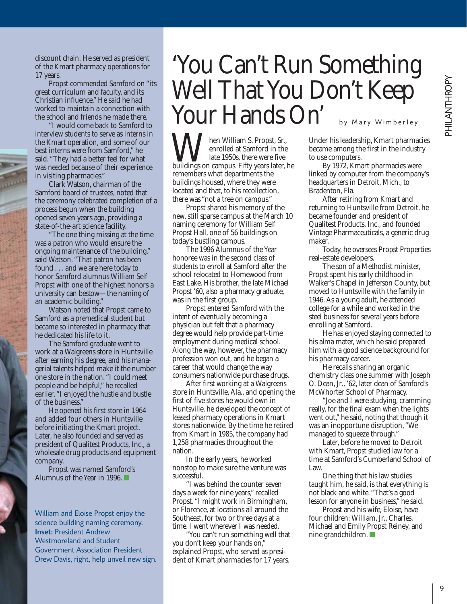discount chain. He served as president of the Kmart pharmacy operations for 17 years.

Propst commended Samford on "its great curriculum and faculty, and its Christian influence." He said he had worked to maintain a connection with the school and friends he made there.

"I would come back to Samford to interview students to serve as interns in the Kmart operation, and some of our best interns were from Samford," he said. "They had a better feel for what was needed because of their experience in visiting pharmacies."

Clark Watson, chairman of the Samford board of trustees, noted that the ceremony celebrated completion of a process begun when the building opened seven years ago, providing a state-of-the-art science facility.

"The one thing missing at the time was a patron who would ensure the ongoing maintenance of the building," said Watson. "That patron has been found . . . and we are here today to honor Samford alumnus William Self Propst with one of the highest honors a university can bestow—the naming of an academic building."

Watson noted that Propst came to Samford as a premedical student but became so interested in pharmacy that he dedicated his life to it.

The Samford graduate went to work at a Walgreens store in Huntsville after earning his degree, and his managerial talents helped make it the number one store in the nation. "I could meet people and be helpful," he recalled earlier. "I enjoyed the hustle and bustle of the business."

He opened his first store in 1964 and added four others in Huntsville before initiating the Kmart project. Later, he also founded and served as president of Qualitest Products, Inc., a wholesale drug products and equipment company.

Propst was named Samford's Alumnus of the Year in 1996. ■

William and Eloise Propst enjoy the science building naming ceremony. **Inset:** President Andrew Westmoreland and Student Government Association President Drew Davis, right, help unveil new sign.

#### 'You Can't Run Something Well That You Don't Keep Your Hands On' by Mary Wimberley

hen William S. Propst, Sr., enrolled at Samford in the late 1950s, there were five **M** hen William S. Propst, Sr., enrolled at Samford in the buildings on campus. Fifty years later, he remembers what departments the buildings housed, where they were located and that, to his recollection, there was "not a tree on campus."

Propst shared his memory of the new, still sparse campus at the March 10 naming ceremony for William Self Propst Hall, one of 56 buildings on today's bustling campus.

The 1996 Alumnus of the Year honoree was in the second class of students to enroll at Samford after the school relocated to Homewood from East Lake. His brother, the late Michael Propst '60, also a pharmacy graduate, was in the first group.

Propst entered Samford with the intent of eventually becoming a physician but felt that a pharmacy degree would help provide part-time employment during medical school. Along the way, however, the pharmacy profession won out, and he began a career that would change the way consumers nationwide purchase drugs.

After first working at a Walgreens store in Huntsville, Ala., and opening the first of five stores he would own in Huntsville, he developed the concept of leased pharmacy operations in Kmart stores nationwide. By the time he retired from Kmart in 1985, the company had 1,258 pharmacies throughout the nation.

In the early years, he worked nonstop to make sure the venture was successful.

"I was behind the counter seven days a week for nine years," recalled Propst. "I might work in Birmingham, or Florence, at locations all around the Southeast, for two or three days at a time. I went wherever I was needed.

"You can't run something well that you don't keep your hands on," explained Propst, who served as president of Kmart pharmacies for 17 years.

Under his leadership, Kmart pharmacies became among the first in the industry to use computers.

By 1972, Kmart pharmacies were linked by computer from the company's headquarters in Detroit, Mich., to Bradenton, Fla.

After retiring from Kmart and returning to Huntsville from Detroit, he became founder and president of Qualitest Products, Inc., and founded Vintage Pharmaceuticals, a generic drug maker.

Today, he oversees Propst Properties real-estate developers.

The son of a Methodist minister, Propst spent his early childhood in Walker's Chapel in Jefferson County, but moved to Huntsville with the family in 1946. As a young adult, he attended college for a while and worked in the steel business for several years before enrolling at Samford.

He has enjoyed staying connected to his alma mater, which he said prepared him with a good science background for his pharmacy career.

He recalls sharing an organic chemistry class one summer with Joseph O. Dean, Jr., '62, later dean of Samford's McWhorter School of Pharmacy.

"Joe and I were studying, cramming really, for the final exam when the lights went out," he said, noting that though it was an inopportune disruption, "We managed to squeeze through."

Later, before he moved to Detroit with Kmart, Propst studied law for a time at Samford's Cumberland School of Law.

One thing that his law studies taught him, he said, is that everything is not black and white. "That's a good lesson for anyone in business," he said.

Propst and his wife, Eloise, have four children: William, Jr., Charles, Michael and Emily Propst Reiney, and nine grandchildren. ■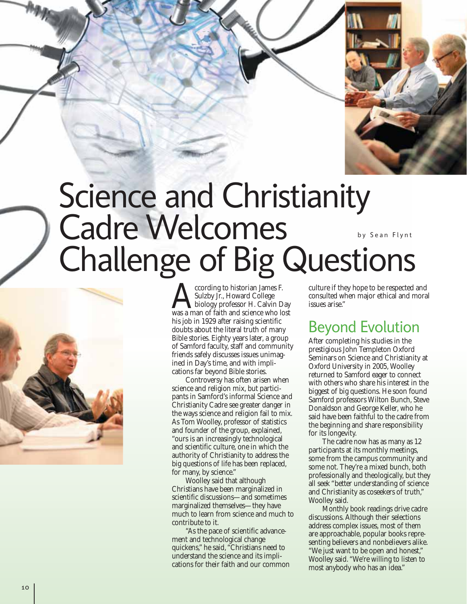

#### Science and Christianity Cadre Welcomes Challenge of Big Questions by Sean Flynt



ccording to historian James F. Sulzby Jr., Howard College biology professor H. Calvin Day ccording to historian James F.<br>Sulzby Jr., Howard College<br>was a man of faith and science who lost his job in 1929 after raising scientific doubts about the literal truth of many Bible stories. Eighty years later, a group of Samford faculty, staff and community friends safely discusses issues unimagined in Day's time, and with implications far beyond Bible stories.

Controversy has often arisen when science and religion mix, but participants in Samford's informal Science and Christianity Cadre see greater danger in the ways science and religion fail to mix. As Tom Woolley, professor of statistics and founder of the group, explained, "ours is an increasingly technological and scientific culture, one in which the authority of Christianity to address the big questions of life has been replaced, for many, by science."

Woolley said that although Christians have been marginalized in scientific discussions—and sometimes marginalized themselves—they have much to learn from science and much to contribute to it.

"As the pace of scientific advancement and technological change quickens," he said, "Christians need to understand the science and its implications for their faith and our common culture if they hope to be respected and consulted when major ethical and moral issues arise."

#### Beyond Evolution

After completing his studies in the prestigious John Templeton Oxford Seminars on Science and Christianity at Oxford University in 2005, Woolley returned to Samford eager to connect with others who share his interest in the biggest of big questions. He soon found Samford professors Wilton Bunch, Steve Donaldson and George Keller, who he said have been faithful to the cadre from the beginning and share responsibility for its longevity.

The cadre now has as many as 12 participants at its monthly meetings, some from the campus community and some not. They're a mixed bunch, both professionally and theologically, but they all seek "better understanding of science and Christianity as coseekers of truth," Woolley said.

Monthly book readings drive cadre discussions. Although their selections address complex issues, most of them are approachable, popular books representing believers and nonbelievers alike. "We just want to be open and honest," Woolley said. "We're willing to listen to most anybody who has an idea."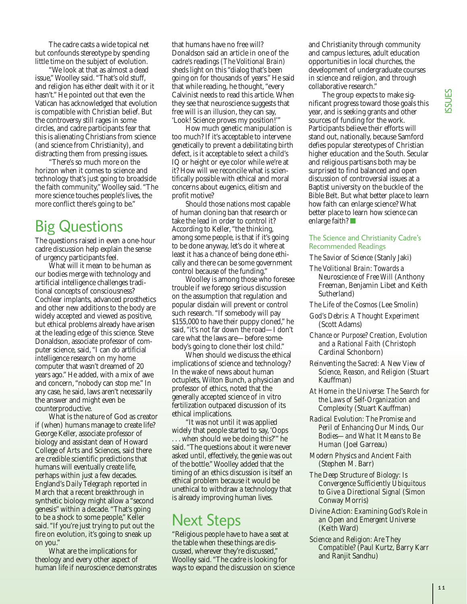The cadre casts a wide topical net but confounds stereotype by spending little time on the subject of evolution.

"We look at that as almost a dead issue," Woolley said. "That's old stuff, and religion has either dealt with it or it hasn't." He pointed out that even the Vatican has acknowledged that evolution is compatible with Christian belief. But the controversy still rages in some circles, and cadre participants fear that this is alienating Christians from science (and science from Christianity), and distracting them from pressing issues.

"There's so much more on the horizon when it comes to science and technology that's just going to broadside the faith community," Woolley said. "The more science touches people's lives, the more conflict there's going to be."

#### Big Questions

The questions raised in even a one-hour cadre discussion help explain the sense of urgency participants feel.

What will it mean to be human as our bodies merge with technology and artificial intelligence challenges traditional concepts of consciousness? Cochlear implants, advanced prosthetics and other new additions to the body are widely accepted and viewed as positive, but ethical problems already have arisen at the leading edge of this science. Steve Donaldson, associate professor of computer science, said, "I can do artificial intelligence research on my home computer that wasn't dreamed of 20 years ago." He added, with a mix of awe and concern, "nobody can stop me." In any case, he said, laws aren't necessarily the answer and might even be counterproductive.

What is the nature of God as creator if (when) humans manage to create life? George Keller, associate professor of biology and assistant dean of Howard College of Arts and Sciences, said there are credible scientific predictions that humans will eventually create life, perhaps within just a few decades. England's *Daily Telegraph* reported in March that a recent breakthrough in synthetic biology might allow a "second genesis" within a decade. "That's going to be a shock to some people," Keller said. "If you're just trying to put out the fire on evolution, it's going to sneak up on you."

What are the implications for theology and every other aspect of human life if neuroscience demonstrates

that humans have no free will? Donaldson said an article in one of the cadre's readings *(The Volitional Brain)* sheds light on this "dialog that's been going on for thousands of years." He said that while reading, he thought, "every Calvinist needs to read this article. When they see that neuroscience suggests that free will is an illusion, they can say, 'Look! Science proves my position!'"

How much genetic manipulation is too much? If it's acceptable to intervene genetically to prevent a debilitating birth defect, is it acceptable to select a child's IQ or height or eye color while we're at it? How will we reconcile what is scientifically possible with ethical and moral concerns about eugenics, elitism and profit motive?

Should those nations most capable of human cloning ban that research or take the lead in order to control it? According to Keller, "the thinking, among some people, is that if it's going to be done anyway, let's do it where at least it has a chance of being done ethically and there can be some government control because of the funding."

Woolley is among those who foresee trouble if we forego serious discussion on the assumption that regulation and popular disdain will prevent or control such research. "If somebody will pay \$155,000 to have their puppy cloned," he said, "it's not far down the road—I don't care what the laws are—before somebody's going to clone their lost child."

When should we discuss the ethical implications of science and technology? In the wake of news about human octuplets, Wilton Bunch, a physician and professor of ethics, noted that the generally accepted science of in vitro fertilization outpaced discussion of its ethical implications.

"It was not until it was applied widely that people started to say, 'Oops . . . when should we be doing this?'" he said. "The questions about it were never asked until, effectively, the genie was out of the bottle." Woolley added that the timing of an ethics discussion is itself an ethical problem because it would be unethical to withdraw a technology that is already improving human lives.

#### Next Steps

"Religious people have to have a seat at the table when these things are discussed, wherever they're discussed," Woolley said. "The cadre is looking for ways to expand the discussion on science and Christianity through community and campus lectures, adult education opportunities in local churches, the development of undergraduate courses in science and religion, and through collaborative research."

The group expects to make significant progress toward those goals this year, and is seeking grants and other sources of funding for the work. Participants believe their efforts will stand out, nationally, because Samford defies popular stereotypes of Christian higher education and the South. Secular and religious partisans both may be surprised to find balanced and open discussion of controversial issues at a Baptist university on the buckle of the Bible Belt. But what better place to learn how faith can enlarge science? What better place to learn how science can enlarge faith? ■

#### The Science and Christianity Cadre's Recommended Readings

*The Savior of Science* (Stanly Jaki)

*The Volitional Brain: Towards a Neuroscience of Free Will* (Anthony Freeman, Benjamin Libet and Keith Sutherland)

*The Life of the Cosmos* (Lee Smolin)

- *God's Debris: A Thought Experiment* (Scott Adams)
- *Chance or Purpose? Creation, Evolution and a Rational Faith* (Christoph Cardinal Schonborn)
- *Reinventing the Sacred: A New View of Science, Reason, and Religion* (Stuart Kauffman)
- *At Home in the Universe: The Search for the Laws of Self-Organization and Complexity* (Stuart Kauffman)
- *Radical Evolution: The Promise and Peril of Enhancing Our Minds, Our Bodies—and What It Means to Be Human* (Joel Garreau)
- *Modern Physics and Ancient Faith* (Stephen M. Barr)
- *The Deep Structure of Biology: Is Convergence Sufficiently Ubiquitous to Give a Directional Signal* (Simon Conway Morris)
- *Divine Action: Examining God's Role in an Open and Emergent Universe* (Keith Ward)
- *Science and Religion: Are They Compatible?* (Paul Kurtz, Barry Karr and Ranjit Sandhu)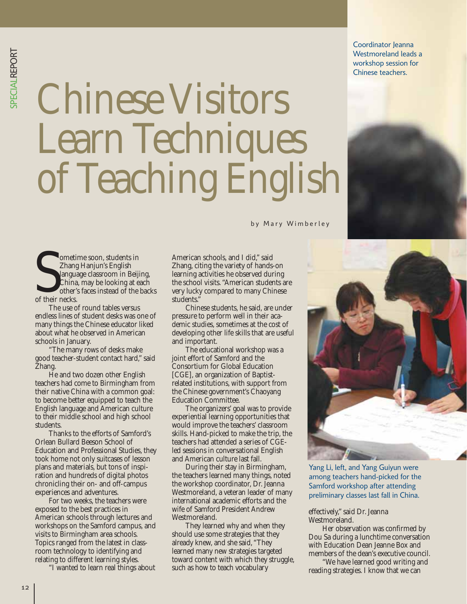SPECIALREPORT PECIALREPORT

Chinese Visitors Learn Techniques of Teaching English

by Mary Wimberley

ometime soon, students in Zhang Hanjun's English language classroom in Beijing, China, may be looking at each other's faces instead of the backs Ometi<br>
Zhangua<br>
China<br>
otheir necks.

The use of round tables versus endless lines of student desks was one of many things the Chinese educator liked about what he observed in American schools in January.

"The many rows of desks make good teacher-student contact hard," said Zhang.

He and two dozen other English teachers had come to Birmingham from their native China with a common goal: to become better equipped to teach the English language and American culture to their middle school and high school students.

Thanks to the efforts of Samford's Orlean Bullard Beeson School of Education and Professional Studies, they took home not only suitcases of lesson plans and materials, but tons of inspiration and hundreds of digital photos chronicling their on- and off-campus experiences and adventures.

For two weeks, the teachers were exposed to the best practices in American schools through lectures and workshops on the Samford campus, and visits to Birmingham area schools. Topics ranged from the latest in classroom technology to identifying and relating to different learning styles.

"I wanted to learn real things about

American schools, and I did," said Zhang, citing the variety of hands-on learning activities he observed during the school visits. "American students are very lucky compared to many Chinese students."

Chinese students, he said, are under pressure to perform well in their academic studies, sometimes at the cost of developing other life skills that are useful and important.

The educational workshop was a joint effort of Samford and the Consortium for Global Education [CGE], an organization of Baptist related institutions, with support from the Chinese government's Chaoyang Education Committee.

The organizers' goal was to provide experiential learning opportunities that would improve the teachers' classroom skills. Hand-picked to make the trip, the teachers had attended a series of CGEled sessions in conversational English and American culture last fall.

During their stay in Birmingham, the teachers learned many things, noted the workshop coordinator, Dr. Jeanna Westmoreland, a veteran leader of many international academic efforts and the wife of Samford President Andrew Westmoreland.

They learned why and when they should use some strategies that they already knew, and she said, "They learned many new strategies targeted toward content with which they struggle, such as how to teach vocabulary

Yang Li, left, and Yang Guiyun were among teachers hand-picked for the Samford workshop after attending preliminary classes last fall in China.

 effectively," said Dr. Jeanna Westmoreland.

Her observation was confirmed by Dou Sa during a lunchtime conversation with Education Dean Jeanne Box and members of the dean's executive council.

"We have learned good writing and reading strategies. I know that we can



Coordinator Jeanna Westmoreland leads a workshop session for Chinese teachers.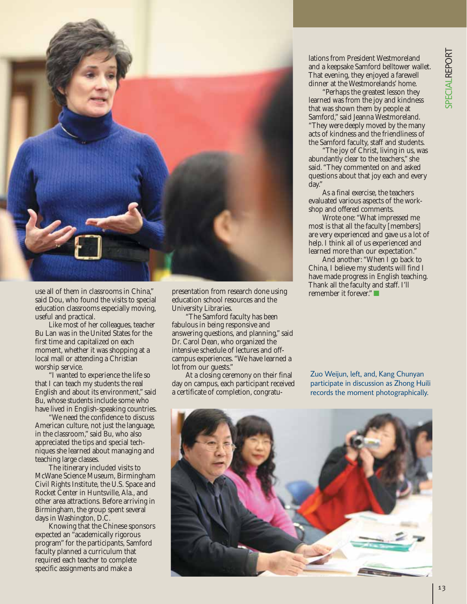

use all of them in classrooms in China," said Dou, who found the visits to special education classrooms especially moving, useful and practical.

Like most of her colleagues, teacher Bu Lan was in the United States for the first time and capitalized on each moment, whether it was shopping at a local mall or attending a Christian worship service.

"I wanted to experience the life so that I can teach my students the real English and about its environment," said Bu, whose students include some who have lived in English-speaking countries.

"We need the confidence to discuss American culture, not just the language, in the classroom," said Bu, who also appreciated the tips and special techniques she learned about managing and teaching large classes.

The itinerary included visits to McWane Science Museum, Birmingham Civil Rights Institute, the U.S. Space and Rocket Center in Huntsville, Ala., and other area attractions. Before arriving in Birmingham, the group spent several days in Washington, D.C.

Knowing that the Chinese sponsors expected an "academically rigorous program" for the participants, Samford faculty planned a curriculum that required each teacher to complete specific assignments and make a

 presentation from research done using education school resources and the University Libraries.

"The Samford faculty has been fabulous in being responsive and answering questions, and planning," said Dr. Carol Dean, who organized the intensive schedule of lectures and offcampus experiences. "We have learned a lot from our guests."

At a closing ceremony on their final day on campus, each participant received a certificate of completion, congratu -

lations from President Westmoreland and a keepsake Samford belltower wallet. That evening, they enjoyed a farewell dinner at the Westmorelands' home.

"Perhaps the greatest lesson they learned was from the joy and kindness that was shown them by people at Samford," said Jeanna Westmoreland. "They were deeply moved by the many acts of kindness and the friendliness of the Samford faculty, staff and students.

"The joy of Christ, living in us, was abundantly clear to the teachers," she said. "They commented on and asked questions about that joy each and every day."

As a final exercise, the teachers evaluated various aspects of the workshop and offered comments.

Wrote one: "What impressed me most is that all the faculty [members] are very experienced and gave us a lot of help. I think all of us experienced and learned more than our expectation."

And another: "When I go back to China, I believe my students will find I have made progress in English teaching. Thank all the faculty and staff. I'll remember it forever." ■

Zuo Weijun, left, and, Kang Chunyan participate in discussion as Zhong Huili records the moment photographically.

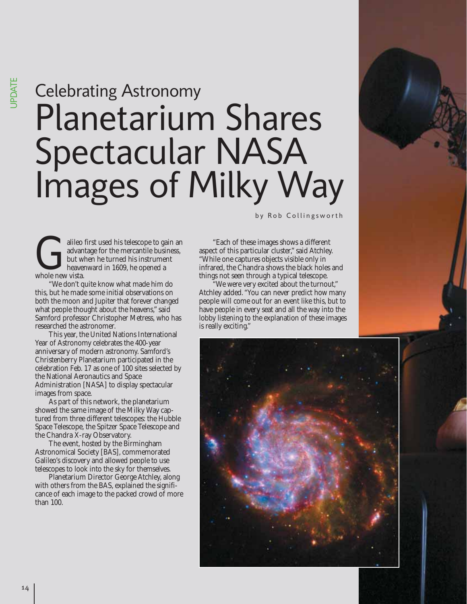### Planetarium Shares Spectacular NASA Images of Milky Way Celebrating Astronomy

alileo first used his telescope to gain an advantage for the mercantile business, but when he turned his instrument heavenward in 1609, he opened a Gradvan<br>But with heaven<br>whole new vista.

"We don't quite know what made him do this, but he made some initial observations on both the moon and Jupiter that forever changed what people thought about the heavens," said Samford professor Christopher Metress, who has researched the astronomer.

This year, the United Nations International Year of Astronomy celebrates the 400-year anniversary of modern astronomy. Samford's Christenberry Planetarium participated in the celebration Feb. 17 as one of 100 sites selected by the National Aeronautics and Space Administration [NASA] to display spectacular images from space.

As part of this network, the planetarium showed the same image of the Milky Way captured from three different telescopes: the Hubble Space Telescope, the Spitzer Space Telescope and the Chandra X-ray Observatory.

The event, hosted by the Birmingham Astronomical Society [BAS], commemorated Galileo's discovery and allowed people to use telescopes to look into the sky for themselves.

Planetarium Director George Atchley, along with others from the BAS, explained the significance of each image to the packed crowd of more than 100.

by Rob Collingsworth

"Each of these images shows a different aspect of this particular cluster," said Atchley. "While one captures objects visible only in infrared, the Chandra shows the black holes and things not seen through a typical telescope.

"We were very excited about the turnout," Atchley added. "You can never predict how many people will come out for an event like this, but to have people in every seat and all the way into the lobby listening to the explanation of these images is really exciting."

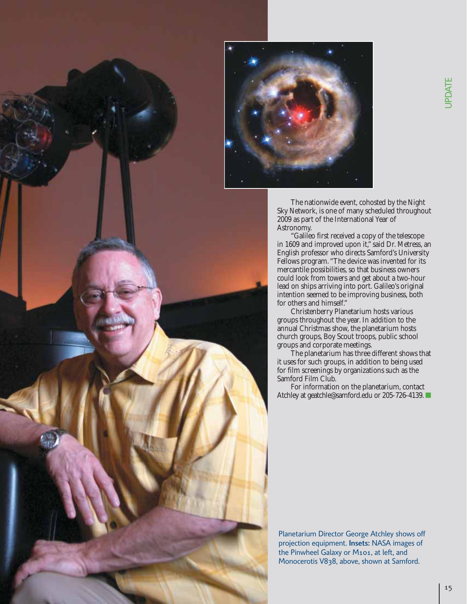



The nationwide event, cohosted by the Night Sky Network, is one of many scheduled throughout 2009 as part of the International Year of Astronomy.

"Galileo first received a copy of the telescope in 1609 and improved upon it," said Dr. Metress, an English professor who directs Samford's University Fellows program. "The device was invented for its mercantile possibilities, so that business owners could look from towers and get about a two-hour lead on ships arriving into port. Galileo's original intention seemed to be improving business, both for others and himself."

Christenberry Planetarium hosts various groups throughout the year. In addition to the annual Christmas show, the planetarium hosts church groups, Boy Scout troops, public school groups and corporate meetings.

The planetarium has three different shows that it uses for such groups, in addition to being used for film screenings by organizations such as the Samford Film Club.

For information on the planetarium, contact Atchley at geatchle@samford.edu or 205-726-4139. ■

Planetarium Director George Atchley shows off projection equipment. **Insets:** NASA images of the Pinwheel Galaxy or M101, at left, and Monocerotis V838, above, shown at Samford.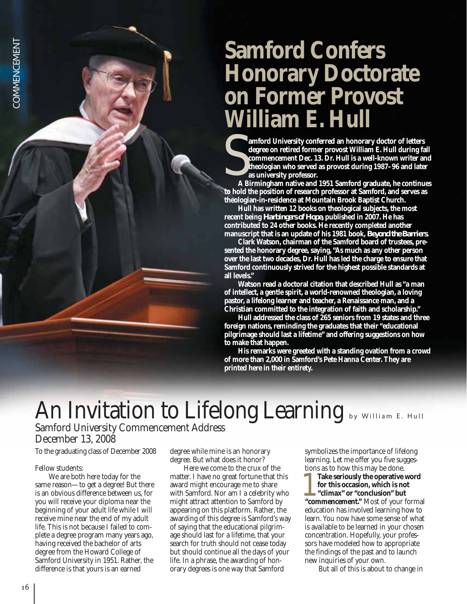#### **Samford Confers Honorary Doctorate on Former Provost William E. Hull**

**amford University conferred an honorary doctor of letters degree on retired former provost William E. Hull during fall commencement Dec. 13. Dr. Hull is a well-known writer and theologian who served as provost during 1987–96 and later as university professor.** S<sub>AB</sub>

**A Birmingham native and 1951 Samford graduate, he continues to hold the position of research professor at Samford, and serves as theologian-in-residence at Mountain Brook Baptist Church.**

**Hull has written 12 books on theological subjects, the most recent being** *Harbingers of Hope,* **published in 2007. He has contributed to 24 other books. He recently completed another manuscript that is an update of his 1981 book,** *Beyond the Barriers.*

**Clark Watson, chairman of the Samford board of trustees, presented the honorary degree, saying, "As much as any other person over the last two decades, Dr. Hull has led the charge to ensure that Samford continuously strived for the highest possible standards at all levels."**

**Watson read a doctoral citation that described Hull as "a man of intellect, a gentle spirit, a world-renowned theologian, a loving pastor, a lifelong learner and teacher, a Renaissance man, and a Christian committed to the integration of faith and scholarship."**

**Hull addressed the class of 265 seniors from 19 states and three foreign nations, reminding the graduates that their "educational pilgrimage should last a lifetime" and offering suggestions on how to make that happen.** 

**His remarks were greeted with a standing ovation from a crowd of more than 2,000 in Samford's Pete Hanna Center. They are printed here in their entirety.** 

#### An Invitation to Lifelong Learning by William E. Hull

#### Samford University Commencement Address December 13, 2008

#### To the graduating class of December 2008

#### Fellow students:

We are both here today for the same reason—to get a degree! But there is an obvious difference between us, for you will receive your diploma near the beginning of your adult life while I will receive mine near the end of my adult life. This is not because I failed to complete a degree program many years ago, having received the bachelor of arts degree from the Howard College of Samford University in 1951. Rather, the difference is that yours is an earned

degree while mine is an honorary degree. But what does it honor?

Here we come to the crux of the matter. I have no great fortune that this award might encourage me to share with Samford. Nor am I a celebrity who might attract attention to Samford by appearing on this platform. Rather, the awarding of this degree is Samford's way of saying that the educational pilgrimage should last for a lifetime, that your search for truth should not cease today but should continue all the days of your life. In a phrase, the awarding of honorary degrees is one way that Samford

symbolizes the importance of lifelong learning. Let me offer you five suggestions as to how this may be done.

**Take seriously the operative word for this occasion, which is not "climax" or "conclusion" but 1** Take seriously the operative word<br>for this occasion, which is not<br>"climax" or "conclusion" but<br>"commencement." Most of your formal education has involved learning how to learn. You now have some sense of what is available to be learned in your chosen concentration. Hopefully, your professors have modeled how to appropriate the findings of the past and to launch new inquiries of your own.

But all of this is about to change in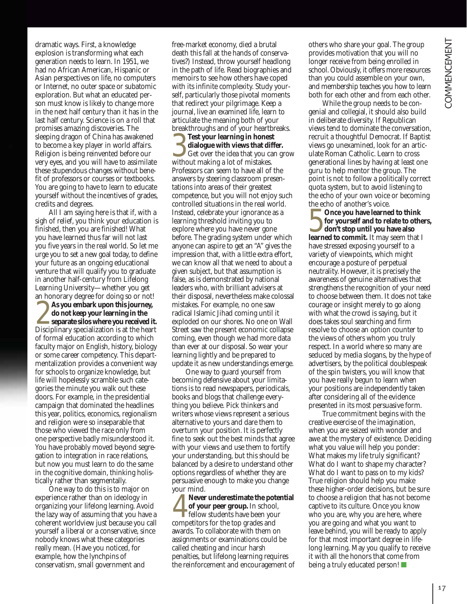dramatic ways. First, a knowledge explosion is transforming what each generation needs to learn. In 1951, we had no African American, Hispanic or Asian perspectives on life, no computers or Internet, no outer space or subatomic exploration. But what an educated person must know is likely to change more in the next half century than it has in the last half century. Science is on a roll that promises amazing discoveries. The sleeping dragon of China has awakened to become a key player in world affairs. Religion is being reinvented before our very eyes, and you will have to assimilate these stupendous changes without benefit of professors or courses or textbooks. You are going to have to learn to educate yourself without the incentives of grades, credits and degrees.

All I am saying here is that if, with a sigh of relief, you think your education is finished, then you are finished! What you have learned thus far will not last you five years in the real world. So let me urge you to set a new goal today, to define your future as an ongoing educational venture that will qualify you to graduate in another half-century from Lifelong Learning University—whether you get an honorary degree for doing so or not! **As you embark upon this journey, do not keep your learning in the separate silos where you received it. 2** As you embark upon this journey, do not keep your learning in the separate silos where you received it. Disciplinary specialization is at the heart of formal education according to which faculty major on English, history, biology or some career competency. This departmentalization provides a convenient way for schools to organize knowledge, but life will hopelessly scramble such categories the minute you walk out these doors. For example, in the presidential campaign that dominated the headlines this year, politics, economics, regionalism and religion were so inseparable that those who viewed the race only from one perspective badly misunderstood it. You have probably moved beyond segregation to integration in race relations, but now you must learn to do the same in the cognitive domain, thinking holistically rather than segmentally.

One way to do this is to major on experience rather than on ideology in organizing your lifelong learning. Avoid the lazy way of assuming that you have a coherent worldview just because you call yourself a liberal or a conservative, since nobody knows what these categories really mean. (Have you noticed, for example, how the lynchpins of conservatism, small government and

free- market economy, died a brutal death this fall at the hands of conservatives?) Instead, throw yourself headlong in the path of life. Read biographies and memoirs to see how others have coped with its infinite complexity. Study yourself, particularly those pivotal moments that redirect your pilgrimage. Keep a journal, live an examined life, learn to articulate the meaning both of your breakthroughs and of your heartbreaks.

**Test your learning in honest dialogue with views that differ.** Get over the idea that you can grow **SEX YOUT LEART SERVING THE MAKING STATE OF SERVISTANCE SERVISTANCE SERVISTANCE SERVISTANCE SERVISTANCE SERVISTANCE SERVISTANCE SERVISTANCE SERVISTANCE SERVISTANCE SERVISTANCE SERVISTANCE SERVISTANCE SERVISTANCE SERVISTANC** Professors can seem to have all of the answers by steering classroom presen tations into areas of their greatest competence, but you will not enjoy such controlled situations in the real world. Instead, celebrate your ignorance as a learning threshold inviting you to explore where you have never gone before. The grading system under which anyone can aspire to get an "A" gives the impression that, with a little extra effort, we can know all that we need to about a given subject, but that assumption is false, as is demonstrated by national leaders who, with brilliant advisers at their disposal, nevertheless make colossal mistakes. For example, no one saw radical Islamic Jihad coming until it exploded on our shores. No one on Wall Street saw the present economic collapse coming, even though we had more data than ever at our disposal. So wear your learning lightly and be prepared to update it as new understandings emerge.

One way to guard yourself from becoming defensive about your limitations is to read newspapers, periodicals, books and blogs that challenge everything you believe. Pick thinkers and writers whose views represent a serious alternative to yours and dare them to overturn your position. It is perfectly fine to seek out the best minds that agree with your views and use them to fortify your understanding, but this should be balanced by a desire to understand other options regardless of whether they are persuasive enough to make you change your mind.

**Never underestimate the potential of your peer group.** In school, **F** fellow students have been your Never underestimate the pot<br>of your peer group. In school<br>fellow students have been you<br>competitors for the top grades and awards. To collaborate with them on assignments or examinations could be called cheating and incur harsh penalties, but lifelong learning requires the reinforcement and encouragement of others who share your goal. The group provides motivation that you will no longer receive from being enrolled in school. Obviously, it offers more resources than you could assemble on your own, and membership teaches you how to learn both for each other and from each other.

While the group needs to be congenial and collegial, it should also build in deliberate diversity. If Republican views tend to dominate the conversation, recruit a thoughtful Democrat. If Baptist views go unexamined, look for an articulate Roman Catholic. Learn to cross generational lines by having at least one guru to help mentor the group. The point is not to follow a politically correct quota system, but to avoid listening to the echo of your own voice or becoming the echo of another's voice.

**Once you have learned to think for yourself and to relate to others, don't stop until you have also** Once you have learned to think<br>for yourself and to relate to othe<br>don't stop until you have also<br>learned to commit. It may seem that I have stressed exposing yourself to a variety of viewpoints, which might encourage a posture of perpetual neutrality. However, it is precisely the awareness of genuine alternatives that strengthens the recognition of your need to choose between them. It does not take courage or insight merely to go along with what the crowd is saying, but it does takes soul searching and firm resolve to choose an option counter to the views of others whom you truly respect. In a world where so many are seduced by media slogans, by the hype of advertisers, by the political doublespeak of the spin twisters, you will know that you have really begun to learn when your positions are independently taken after considering all of the evidence presented in its most persuasive form.

True commitment begins with the creative exercise of the imagination, when you are seized with wonder and awe at the mystery of existence. Deciding what you value will help you ponder: What makes my life truly significant? What do I want to shape my character? What do I want to pass on to my kids? True religion should help you make these higher-order decisions, but be sure to choose a religion that has not become captive to its culture. Once you know who you are, why you are here, where you are going and what you want to leave behind, you will be ready to apply for that most important degree in lifelong learning. May you qualify to receive it with all the honors that come from being a truly educated person! ■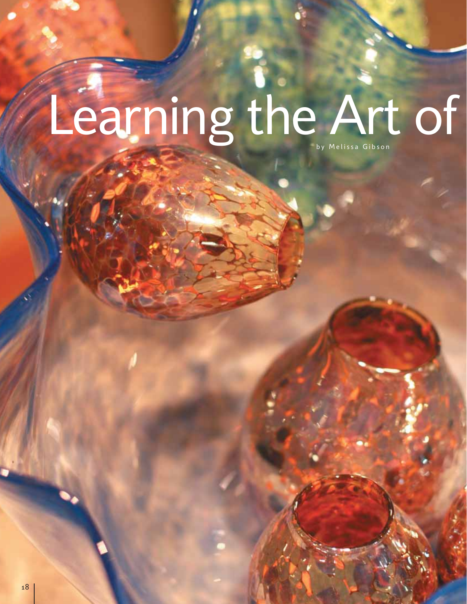# Learning the Art of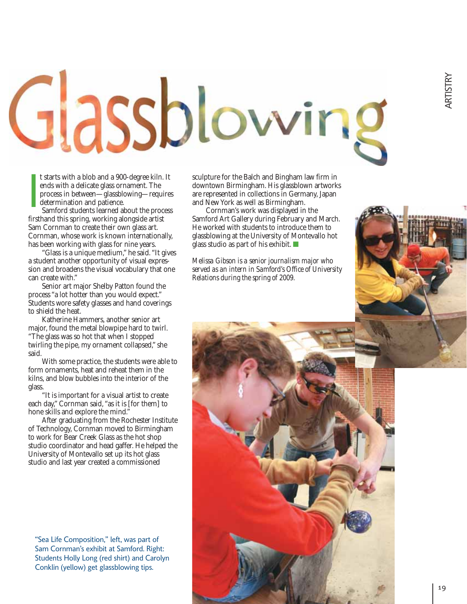# Glassblowing

t starts with a blob and a 900-degree kiln. It ends with a delicate glass ornament. The process in between—glassblowing—requires determination and patience.

Samford students learned about the process firsthand this spring, working alongside artist Sam Cornman to create their own glass art. Cornman, whose work is known internationally, has been working with glass for nine years. I<br>I<br>I<br>I<br>I

"Glass is a unique medium," he said. "It gives a student another opportunity of visual expression and broadens the visual vocabulary that one can create with."

Senior art major Shelby Patton found the process "a lot hotter than you would expect." Students wore safety glasses and hand coverings to shield the heat.

Katherine Hammers, another senior art major, found the metal blowpipe hard to twirl. "The glass was so hot that when I stopped twirling the pipe, my ornament collapsed," she said.

With some practice, the students were able to form ornaments, heat and reheat them in the kilns, and blow bubbles into the interior of the glass.

"It is important for a visual artist to create each day," Cornman said, "as it is [for them] to hone skills and explore the mind."

After graduating from the Rochester Institute of Technology, Cornman moved to Birmingham to work for Bear Creek Glass as the hot shop studio coordinator and head gaffer. He helped the University of Montevallo set up its hot glass studio and last year created a commissioned

"Sea Life Composition," left, was part of Sam Cornman's exhibit at Samford. Right: Students Holly Long (red shirt) and Carolyn Conklin (yellow) get glassblowing tips.

sculpture for the Balch and Bingham law firm in downtown Birmingham. His glassblown artworks are represented in collections in Germany, Japan and New York as well as Birmingham.

Cornman's work was displayed in the Samford Art Gallery during February and March. He worked with students to introduce them to glassblowing at the University of Montevallo hot glass studio as part of his exhibit. ■

*Melissa Gibson is a senior journalism major who served as an intern in Samford's Office of University Relations during the spring of 2009.*